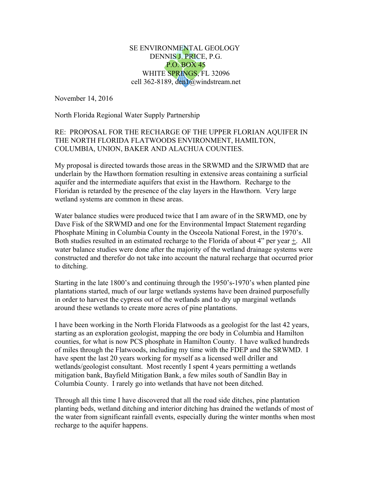## SE ENVIRONMENTAL GEOLOGY DENNIS J. PRICE, P.G. P.O. BOX 45 WHITE SPRINGS, FL 32096 cell 362-8189, den1@windstream.net

November 14, 2016

North Florida Regional Water Supply Partnership

## RE: PROPOSAL FOR THE RECHARGE OF THE UPPER FLORIAN AQUIFER IN THE NORTH FLORIDA FLATWOODS ENVIRONMENT, HAMILTON, COLUMBIA, UNION, BAKER AND ALACHUA COUNTIES.

My proposal is directed towards those areas in the SRWMD and the SJRWMD that are underlain by the Hawthorn formation resulting in extensive areas containing a surficial aquifer and the intermediate aquifers that exist in the Hawthorn. Recharge to the Floridan is retarded by the presence of the clay layers in the Hawthorn. Very large wetland systems are common in these areas.

Water balance studies were produced twice that I am aware of in the SRWMD, one by Dave Fisk of the SRWMD and one for the Environmental Impact Statement regarding Phosphate Mining in Columbia County in the Osceola National Forest, in the 1970's. Both studies resulted in an estimated recharge to the Florida of about 4" per year +. All water balance studies were done after the majority of the wetland drainage systems were constructed and therefor do not take into account the natural recharge that occurred prior to ditching.

Starting in the late 1800's and continuing through the 1950's-1970's when planted pine plantations started, much of our large wetlands systems have been drained purposefully in order to harvest the cypress out of the wetlands and to dry up marginal wetlands around these wetlands to create more acres of pine plantations.

I have been working in the North Florida Flatwoods as a geologist for the last 42 years, starting as an exploration geologist, mapping the ore body in Columbia and Hamilton counties, for what is now PCS phosphate in Hamilton County. I have walked hundreds of miles through the Flatwoods, including my time with the FDEP and the SRWMD. I have spent the last 20 years working for myself as a licensed well driller and wetlands/geologist consultant. Most recently I spent 4 years permitting a wetlands mitigation bank, Bayfield Mitigation Bank, a few miles south of Sandlin Bay in Columbia County. I rarely go into wetlands that have not been ditched.

Through all this time I have discovered that all the road side ditches, pine plantation planting beds, wetland ditching and interior ditching has drained the wetlands of most of the water from significant rainfall events, especially during the winter months when most recharge to the aquifer happens.